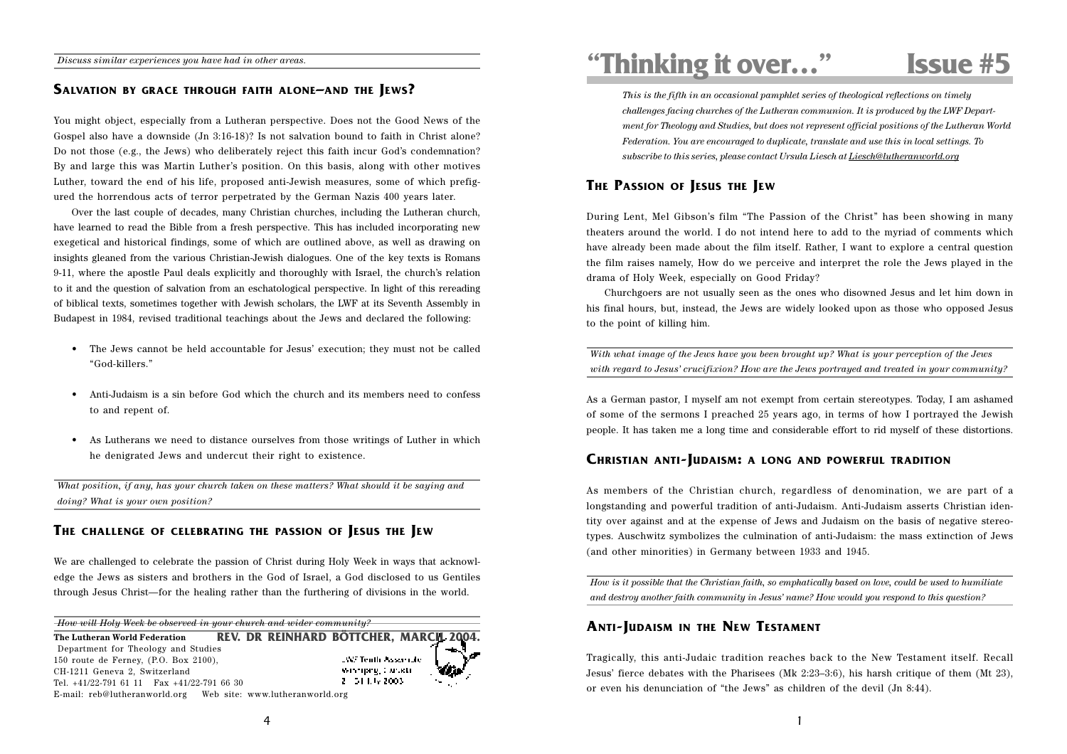# **SALVATION BY GRACE THROUGH FAITH ALONE–AND THE JEWS?**

You might object, especially from a Lutheran perspective. Does not the Good News of the Gospel also have a downside (Jn 3:16-18)? Is not salvation bound to faith in Christ alone? Do not those (e.g., the Jews) who deliberately reject this faith incur God's condemnation? By and large this was Martin Luther's position. On this basis, along with other motives Luther, toward the end of his life, proposed anti-Jewish measures, some of which prefigured the horrendous acts of terror perpetrated by the German Nazis 400 years later.

Over the last couple of decades, many Christian churches, including the Lutheran church, have learned to read the Bible from a fresh perspective. This has included incorporating new exegetical and historical findings, some of which are outlined above, as well as drawing on insights gleaned from the various Christian-Jewish dialogues. One of the key texts is Romans 9-11, where the apostle Paul deals explicitly and thoroughly with Israel, the church's relation to it and the question of salvation from an eschatological perspective. In light of this rereading of biblical texts, sometimes together with Jewish scholars, the LWF at its Seventh Assembly in Budapest in 1984, revised traditional teachings about the Jews and declared the following:

- The Jews cannot be held accountable for Jesus' execution; they must not be called "God-killers."
- Anti-Judaism is a sin before God which the church and its members need to confess to and repent of.
- As Lutherans we need to distance ourselves from those writings of Luther in which he denigrated Jews and undercut their right to existence.

*What position, if any, has your church taken on these matters? What should it be saying and doing? What is your own position?*

# **THE CHALLENGE OF CELEBRATING THE PASSION OF JESUS THE JEW**

We are challenged to celebrate the passion of Christ during Holy Week in ways that acknowledge the Jews as sisters and brothers in the God of Israel, a God disclosed to us Gentiles through Jesus Christ—for the healing rather than the furthering of divisions in the world.

*How will Holy Week be observed in your church and wider community?*

**REV. DR REINHARD BÖTTCHER, MARCH 20 The Lutheran World Federation** Department for Theology and Studies 150 route de Ferney, (P.O. Box 2100), **JWF Tenth Assertate** Winnipeg, Canada CH-1211 Geneva 2, Switzerland 2 51 I.W 2003 Tel. +41/22-791 61 11 Fax +41/22-791 66 30 E-mail: reb@lutheranworld.org Web site: www.lutheranworld.org

**"Thinking it over…" Issue #5**

*This is the fifth in an occasional pamphlet series of theological reflections on timely challenges facing churches of the Lutheran communion. It is produced by the LWF Department for Theology and Studies, but does not represent official positions of the Lutheran World Federation. You are encouraged to duplicate, translate and use this in local settings. To subscribe to this series, please contact Ursula Liesch at Liesch@lutheranworld.org*

# **THE PASSION OF JESUS THE JEW**

During Lent, Mel Gibson's film "The Passion of the Christ" has been showing in many theaters around the world. I do not intend here to add to the myriad of comments which have already been made about the film itself. Rather, I want to explore a central question the film raises namely, How do we perceive and interpret the role the Jews played in the drama of Holy Week, especially on Good Friday?

Churchgoers are not usually seen as the ones who disowned Jesus and let him down in his final hours, but, instead, the Jews are widely looked upon as those who opposed Jesus to the point of killing him.

*With what image of the Jews have you been brought up? What is your perception of the Jews with regard to Jesus' crucifixion? How are the Jews portrayed and treated in your community?*

As a German pastor, I myself am not exempt from certain stereotypes. Today, I am ashamed of some of the sermons I preached 25 years ago, in terms of how I portrayed the Jewish people. It has taken me a long time and considerable effort to rid myself of these distortions.

#### **CHRISTIAN ANTI-JUDAISM: A LONG AND POWERFUL TRADITION**

As members of the Christian church, regardless of denomination, we are part of a longstanding and powerful tradition of anti-Judaism. Anti-Judaism asserts Christian identity over against and at the expense of Jews and Judaism on the basis of negative stereotypes. Auschwitz symbolizes the culmination of anti-Judaism: the mass extinction of Jews (and other minorities) in Germany between 1933 and 1945.

*How is it possible that the Christian faith, so emphatically based on love, could be used to humiliate and destroy another faith community in Jesus' name? How would you respond to this question?*

## **ANTI-JUDAISM IN THE NEW TESTAMENT**

Tragically, this anti-Judaic tradition reaches back to the New Testament itself. Recall Jesus' fierce debates with the Pharisees (Mk 2:23–3:6), his harsh critique of them (Mt 23), or even his denunciation of "the Jews" as children of the devil (Jn 8:44).